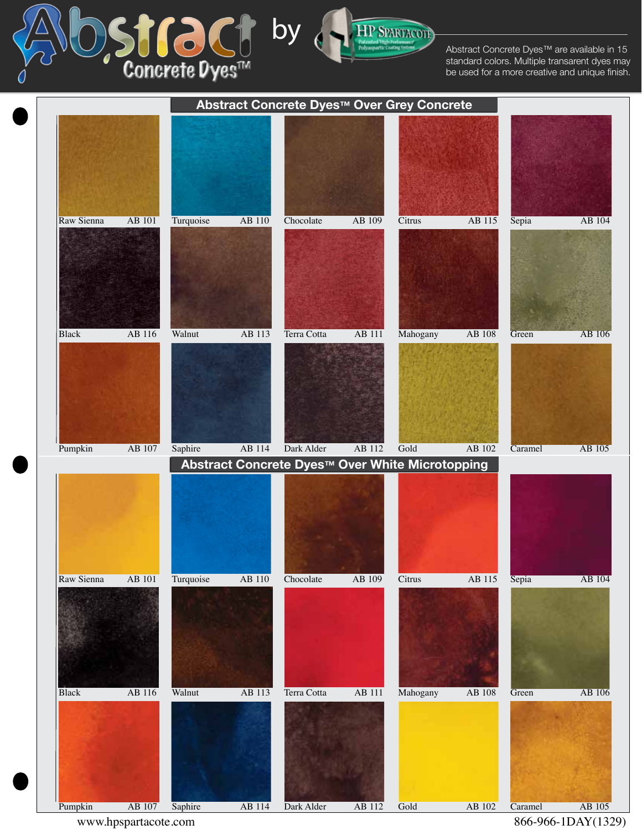Abstract Concrete Dyes™ are available in 15 standard colors. Multiple transarent dyes may be used for a more creative and unique finish.



by

**SPARTACOTI**